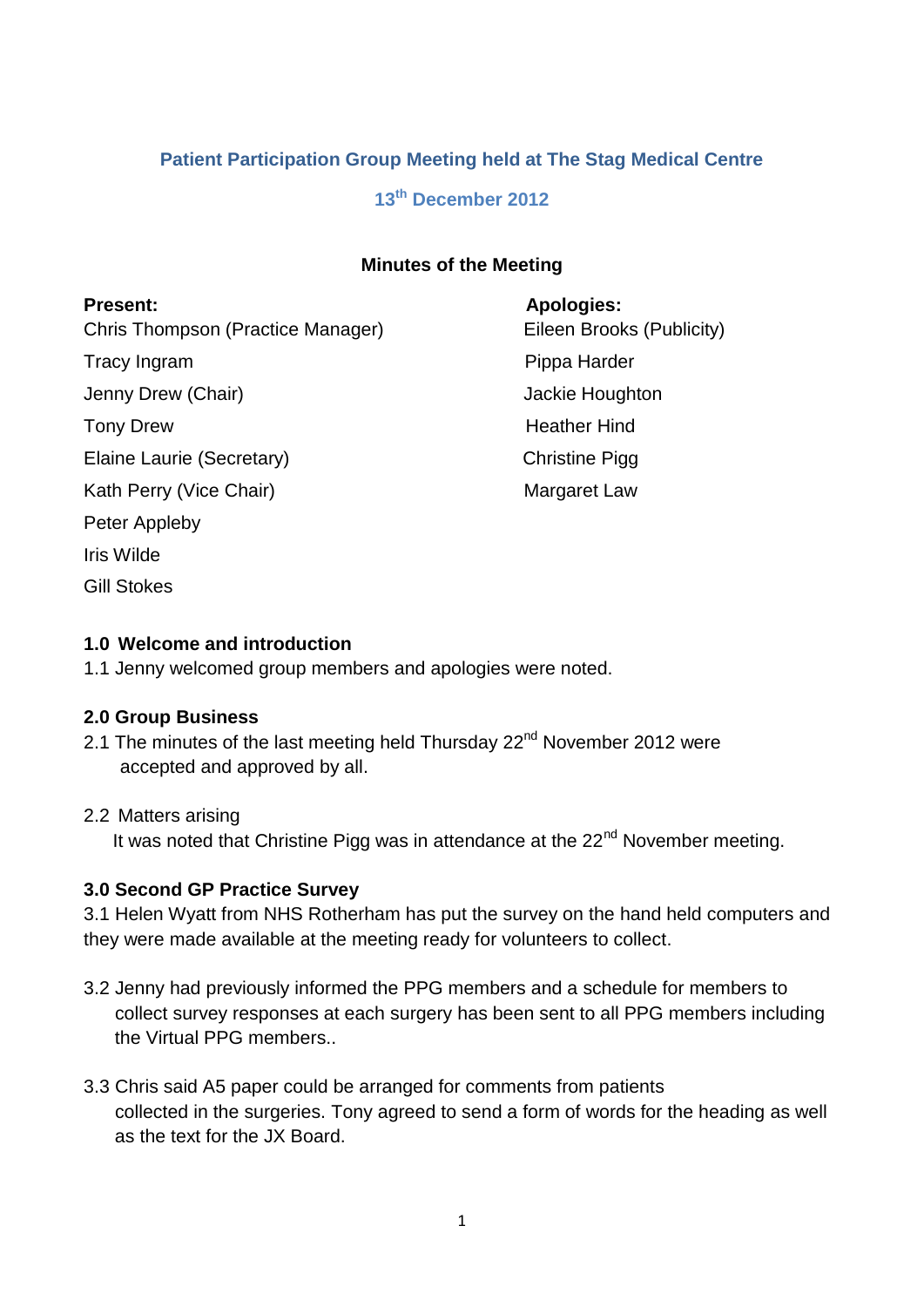## **Patient Participation Group Meeting held at The Stag Medical Centre**

# **13th December 2012**

### **Minutes of the Meeting**

| <b>Present:</b>                   | <b>Apologies:</b>     |
|-----------------------------------|-----------------------|
| Chris Thompson (Practice Manager) | Eileen Brooks         |
| Tracy Ingram                      | Pippa Harder          |
| Jenny Drew (Chair)                | Jackie Hought         |
| <b>Tony Drew</b>                  | <b>Heather Hind</b>   |
| Elaine Laurie (Secretary)         | <b>Christine Pigg</b> |
| Kath Perry (Vice Chair)           | Margaret Law          |
| Peter Appleby                     |                       |
| Iris Wilde                        |                       |
| <b>Gill Stokes</b>                |                       |

ooks (Publicity) bughton

### **1.0 Welcome and introduction**

1.1 Jenny welcomed group members and apologies were noted.

#### **2.0 Group Business**

2.1 The minutes of the last meeting held Thursday  $22<sup>nd</sup>$  November 2012 were accepted and approved by all.

#### 2.2 Matters arising

It was noted that Christine Pigg was in attendance at the  $22<sup>nd</sup>$  November meeting.

### **3.0 Second GP Practice Survey**

3.1 Helen Wyatt from NHS Rotherham has put the survey on the hand held computers and they were made available at the meeting ready for volunteers to collect.

- 3.2 Jenny had previously informed the PPG members and a schedule for members to collect survey responses at each surgery has been sent to all PPG members including the Virtual PPG members..
- 3.3 Chris said A5 paper could be arranged for comments from patients collected in the surgeries. Tony agreed to send a form of words for the heading as well as the text for the JX Board.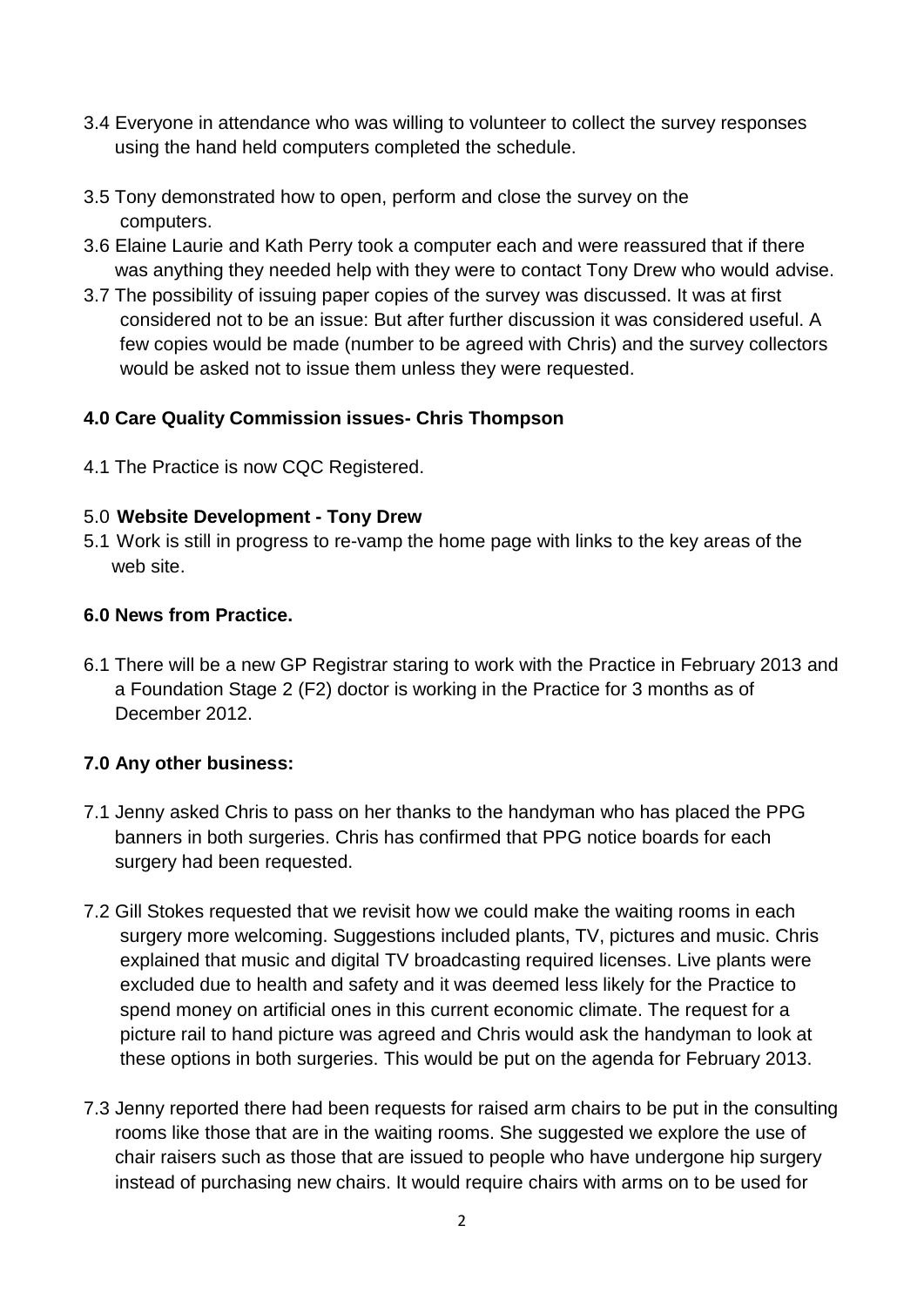- 3.4 Everyone in attendance who was willing to volunteer to collect the survey responses using the hand held computers completed the schedule.
- 3.5 Tony demonstrated how to open, perform and close the survey on the computers.
- 3.6 Elaine Laurie and Kath Perry took a computer each and were reassured that if there was anything they needed help with they were to contact Tony Drew who would advise.
- 3.7 The possibility of issuing paper copies of the survey was discussed. It was at first considered not to be an issue: But after further discussion it was considered useful. A few copies would be made (number to be agreed with Chris) and the survey collectors would be asked not to issue them unless they were requested.

## **4.0 Care Quality Commission issues- Chris Thompson**

4.1 The Practice is now CQC Registered.

## 5.0 **Website Development - Tony Drew**

5.1 Work is still in progress to re-vamp the home page with links to the key areas of the web site.

### **6.0 News from Practice.**

6.1 There will be a new GP Registrar staring to work with the Practice in February 2013 and a Foundation Stage 2 (F2) doctor is working in the Practice for 3 months as of December 2012.

## **7.0 Any other business:**

- 7.1 Jenny asked Chris to pass on her thanks to the handyman who has placed the PPG banners in both surgeries. Chris has confirmed that PPG notice boards for each surgery had been requested.
- 7.2 Gill Stokes requested that we revisit how we could make the waiting rooms in each surgery more welcoming. Suggestions included plants, TV, pictures and music. Chris explained that music and digital TV broadcasting required licenses. Live plants were excluded due to health and safety and it was deemed less likely for the Practice to spend money on artificial ones in this current economic climate. The request for a picture rail to hand picture was agreed and Chris would ask the handyman to look at these options in both surgeries. This would be put on the agenda for February 2013.
- 7.3 Jenny reported there had been requests for raised arm chairs to be put in the consulting rooms like those that are in the waiting rooms. She suggested we explore the use of chair raisers such as those that are issued to people who have undergone hip surgery instead of purchasing new chairs. It would require chairs with arms on to be used for